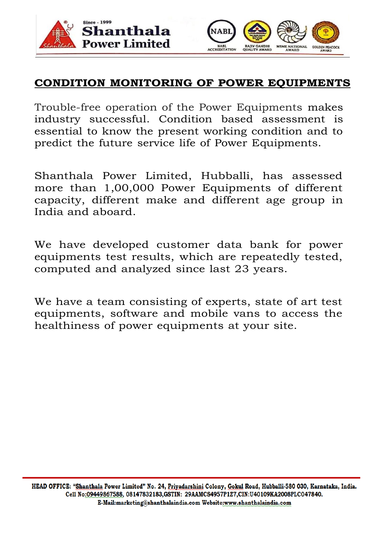



## **CONDITION MONITORING OF POWER EQUIPMENTS**

Trouble-free operation of the Power Equipments makes industry successful. Condition based assessment is essential to know the present working condition and to predict the future service life of Power Equipments.

Shanthala Power Limited, Hubballi, has assessed more than 1,00,000 Power Equipments of different capacity, different make and different age group in India and aboard.

We have developed customer data bank for power equipments test results, which are repeatedly tested, computed and analyzed since last 23 years.

We have a team consisting of experts, state of art test equipments, software and mobile vans to access the healthiness of power equipments at your site.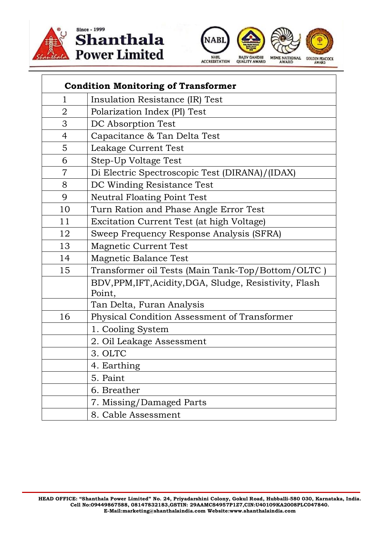





| <b>Condition Monitoring of Transformer</b> |                                                                   |
|--------------------------------------------|-------------------------------------------------------------------|
| 1                                          | Insulation Resistance (IR) Test                                   |
| 2                                          | Polarization Index (PI) Test                                      |
| 3                                          | DC Absorption Test                                                |
| $\overline{4}$                             | Capacitance & Tan Delta Test                                      |
| 5                                          | Leakage Current Test                                              |
| 6                                          | Step-Up Voltage Test                                              |
| 7                                          | Di Electric Spectroscopic Test (DIRANA)/(IDAX)                    |
| 8                                          | DC Winding Resistance Test                                        |
| 9                                          | <b>Neutral Floating Point Test</b>                                |
| 10                                         | Turn Ration and Phase Angle Error Test                            |
| 11                                         | Excitation Current Test (at high Voltage)                         |
| 12                                         | Sweep Frequency Response Analysis (SFRA)                          |
| 13                                         | Magnetic Current Test                                             |
| 14                                         | Magnetic Balance Test                                             |
| 15                                         | Transformer oil Tests (Main Tank-Top/Bottom/OLTC)                 |
|                                            | BDV, PPM, IFT, Acidity, DGA, Sludge, Resistivity, Flash<br>Point, |
|                                            | Tan Delta, Furan Analysis                                         |
| 16                                         | Physical Condition Assessment of Transformer                      |
|                                            | 1. Cooling System                                                 |
|                                            | 2. Oil Leakage Assessment                                         |
|                                            | 3. OLTC                                                           |
|                                            | 4. Earthing                                                       |
|                                            | 5. Paint                                                          |
|                                            | 6. Breather                                                       |
|                                            | 7. Missing/Damaged Parts                                          |
|                                            | 8. Cable Assessment                                               |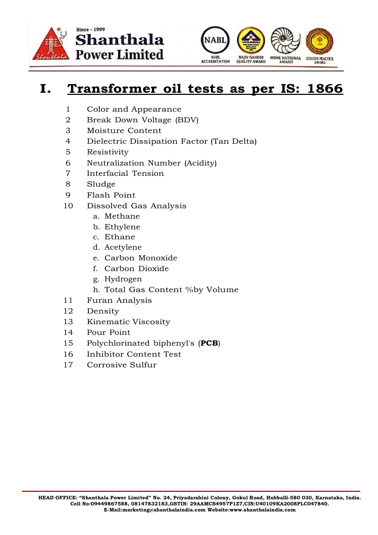



## **I. Transformer oil tests as per IS: 1866**

- 1 Color and Appearance
- 2 Break Down Voltage (BDV)
- 3 Moisture Content
- 4 Dielectric Dissipation Factor (Tan Delta)
- 5 Resistivity
- 6 Neutralization Number (Acidity)
- 7 Interfacial Tension
- 8 Sludge
- 9 Flash Point
- 10 Dissolved Gas Analysis
	- a. Methane
	- b. Ethylene
	- c. Ethane
	- d. Acetylene
	- e. Carbon Monoxide
	- f. Carbon Dioxide
	- g. Hydrogen
	- h. Total Gas Content %by Volume
- 11 Furan Analysis
- 12 Density
- 13 Kinematic Viscosity
- 14 Pour Point
- 15 Polychlorinated biphenyl's (**PCB**)
- 16 Inhibitor Content Test
- 17 Corrosive Sulfur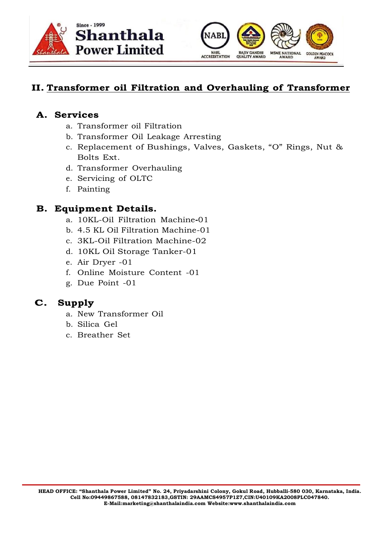



#### **II. Transformer oil Filtration and Overhauling of Transformer**

#### **A. Services**

- a. Transformer oil Filtration
- b. Transformer Oil Leakage Arresting
- c. Replacement of Bushings, Valves, Gaskets, "O" Rings, Nut & Bolts Ext.
- d. Transformer Overhauling
- e. Servicing of OLTC
- f. Painting

#### **B. Equipment Details.**

- a. 10KL-Oil Filtration Machine**-**01
- b. 4.5 KL Oil Filtration Machine-01
- c. 3KL-Oil Filtration Machine-02
- d. 10KL Oil Storage Tanker-01
- e. Air Dryer -01
- f. Online Moisture Content -01
- g. Due Point -01

#### **C. Supply**

- a. New Transformer Oil
- b. Silica Gel
- c. Breather Set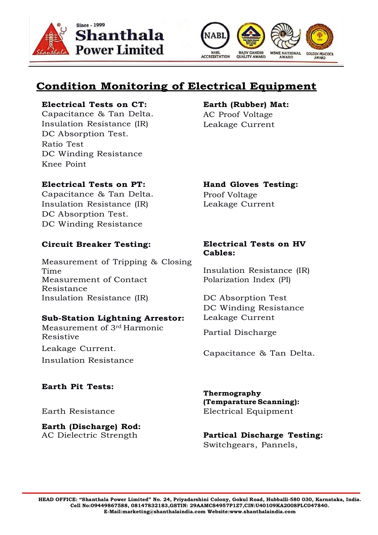



## **Condition Monitoring of Electrical Equipment**

#### **Electrical Tests on CT: Earth (Rubber) Mat:**

Capacitance & Tan Delta. AC Proof Voltage Insulation Resistance (IR) Leakage Current DC Absorption Test. Ratio Test DC Winding Resistance Knee Point

#### **Electrical Tests on PT: Hand Gloves Testing:**

Capacitance & Tan Delta. Proof Voltage Insulation Resistance (IR) Leakage Current DC Absorption Test. DC Winding Resistance

#### **Circuit Breaker Testing: Electrical Tests on HV**

Measurement of Tripping & Closing Time Insulation Resistance (IR) Measurement of Contact Resistance Insulation Resistance (IR) DC Absorption Test

#### **Sub-Station Lightning Arrestor:** Leakage Current

Measurement of 3rd Harmonic Resistive Resistive Leakage Current. Insulation Resistance

#### **Earth Pit Tests:**

**Earth (Discharge) Rod:**

# **Cables:**

Polarization Index (PI)

DC Winding Resistance

Capacitance & Tan Delta.

**Thermography (TemparatureScanning):** Earth Resistance Electrical Equipment

#### AC Dielectric Strength **Partical Discharge Testing:** Switchgears, Pannels,

**HEAD OFFICE: "Shanthala Power Limited" No. 24, Priyadarshini Colony, Gokul Road, Hubballi-580 030, Karnataka, India. Cell No:09449867588, 08147832183,GSTIN: 29AAMCS4957P1Z7,CIN:U40109KA2008PLC047840. E-Mail:marketing@shanthalaindia.com Website:www.shanthalaindia.com**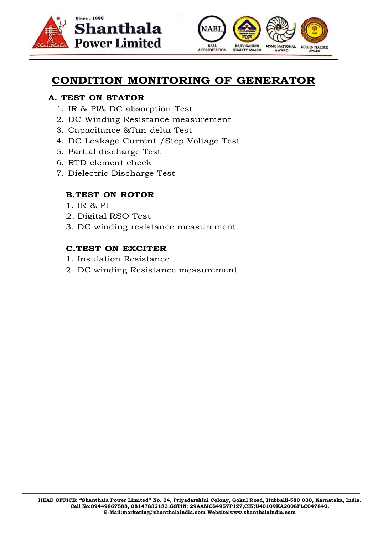



## **CONDITION MONITORING OF GENERATOR**

#### **A. TEST ON STATOR**

- 1. IR & PI& DC absorption Test
- 2. DC Winding Resistance measurement
- 3. Capacitance &Tan delta Test
- 4. DC Leakage Current /Step Voltage Test
- 5. Partial discharge Test
- 6. RTD element check
- 7. Dielectric Discharge Test

#### **B.TEST ON ROTOR**

- 1. IR & PI
- 2. Digital RSO Test
- 3. DC winding resistance measurement

#### **C.TEST ON EXCITER**

- 1. Insulation Resistance
- 2. DC winding Resistance measurement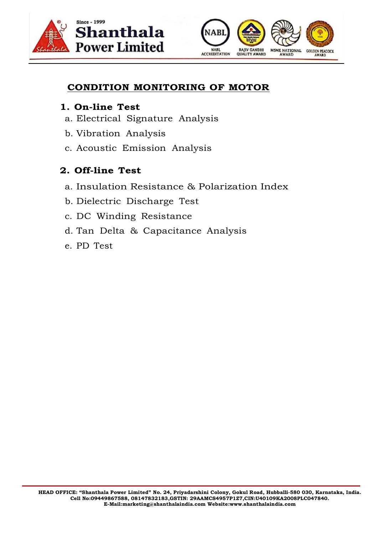



#### **CONDITION MONITORING OF MOTOR**

#### **1. On-line Test**

- a. Electrical Signature Analysis
- b. Vibration Analysis
- c. Acoustic Emission Analysis

## **2. Off-line Test**

- a. Insulation Resistance & Polarization Index
- b. Dielectric Discharge Test
- c. DC Winding Resistance
- d. Tan Delta & Capacitance Analysis
- e. PD Test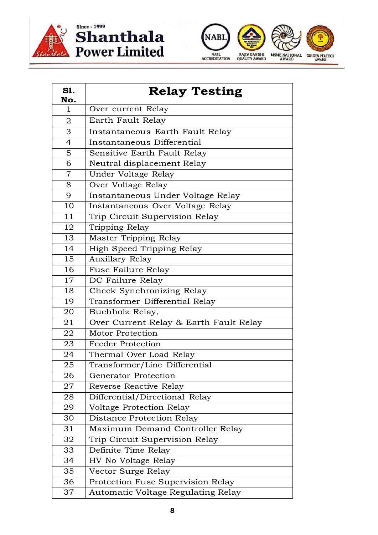

# Shanthala<br>Power Limited



| S1.<br>No.     | <b>Relay Testing</b>                   |
|----------------|----------------------------------------|
| 1              | Over current Relay                     |
| $\overline{2}$ | Earth Fault Relay                      |
| 3              | Instantaneous Earth Fault Relay        |
| $\overline{4}$ | Instantaneous Differential             |
| 5              | Sensitive Earth Fault Relay            |
| 6              | Neutral displacement Relay             |
| $\overline{7}$ | Under Voltage Relay                    |
| 8              | Over Voltage Relay                     |
| 9              | Instantaneous Under Voltage Relay      |
| 10             | Instantaneous Over Voltage Relay       |
| 11             | Trip Circuit Supervision Relay         |
| 12             | Tripping Relay                         |
| 13             | Master Tripping Relay                  |
| 14             | High Speed Tripping Relay              |
| 15             | <b>Auxillary Relay</b>                 |
| 16             | Fuse Failure Relay                     |
| 17             | DC Failure Relay                       |
| 18             | Check Synchronizing Relay              |
| 19             | Transformer Differential Relay         |
| 20             | Buchholz Relay,                        |
| 21             | Over Current Relay & Earth Fault Relay |
| 22             | Motor Protection                       |
| 23             | <b>Feeder Protection</b>               |
| 24             | Thermal Over Load Relay                |
| 25             | Transformer/Line Differential          |
| 26             | Generator Protection                   |
| 27             | Reverse Reactive Relay                 |
| 28             | Differential/Directional Relay         |
| 29             | Voltage Protection Relay               |
| 30             | Distance Protection Relay              |
| 31             | Maximum Demand Controller Relay        |
| 32             | Trip Circuit Supervision Relay         |
| 33             | Definite Time Relay                    |
| 34             | HV No Voltage Relay                    |
| 35             | Vector Surge Relay                     |
| 36             | Protection Fuse Supervision Relay      |
| 37             | Automatic Voltage Regulating Relay     |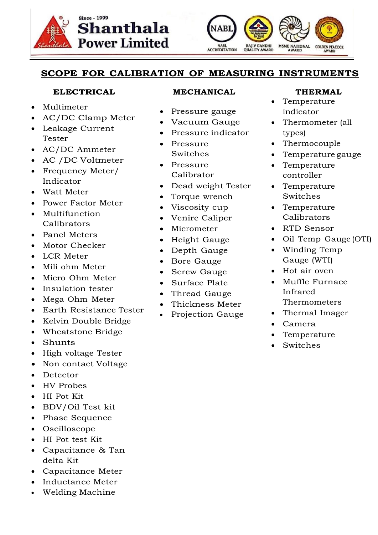



#### **SCOPE FOR CALIBRATION OF MEASURING INSTRUMENTS**

#### **ELECTRICAL**

- Multimeter
- AC/DC Clamp Meter
- Leakage Current Tester
- AC/DC Ammeter
- AC /DC Voltmeter
- Frequency Meter/ Indicator
- Watt Meter
- Power Factor Meter
- Multifunction Calibrators
- Panel Meters
- Motor Checker
- LCR Meter
- Mili ohm Meter
- Micro Ohm Meter
- Insulation tester
- Mega Ohm Meter
- Earth Resistance Tester
- Kelvin Double Bridge
- Wheatstone Bridge
- Shunts
- High voltage Tester
- Non contact Voltage
- Detector
- HV Probes
- HI Pot Kit
- BDV/Oil Test kit
- Phase Sequence
- Oscilloscope
- HI Pot test Kit
- Capacitance & Tan delta Kit
- Capacitance Meter
- Inductance Meter
- Welding Machine

#### **MECHANICAL**

- Pressure gauge
- Vacuum Gauge
- Pressure indicator
- Pressure Switches
- Pressure Calibrator
- Dead weight Tester
- Torque wrench
- Viscosity cup
- Venire Caliper
- Micrometer
- Height Gauge
- Depth Gauge
- Bore Gauge
- Screw Gauge
- Surface Plate
- Thread Gauge
- Thickness Meter
- Projection Gauge

#### **THERMAL**

- Temperature indicator
- Thermometer (all types)
- Thermocouple
- Temperature gauge
- Temperature controller
- Temperature Switches
- Temperature Calibrators
- RTD Sensor
- Oil Temp Gauge (OTI)
- Winding Temp Gauge (WTI)
- Hot air oven
- Muffle Furnace Infrared Thermometers
- Thermal Imager
- Camera
- Temperature
- Switches